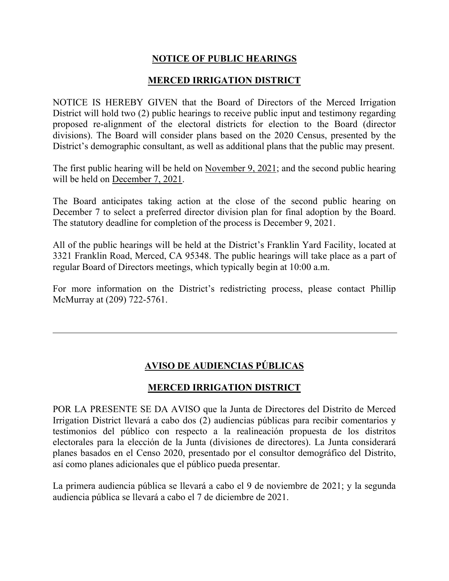## **NOTICE OF PUBLIC HEARINGS**

## **MERCED IRRIGATION DISTRICT**

NOTICE IS HEREBY GIVEN that the Board of Directors of the Merced Irrigation District will hold two (2) public hearings to receive public input and testimony regarding proposed re-alignment of the electoral districts for election to the Board (director divisions). The Board will consider plans based on the 2020 Census, presented by the District's demographic consultant, as well as additional plans that the public may present.

The first public hearing will be held on November 9, 2021; and the second public hearing will be held on December 7, 2021.

The Board anticipates taking action at the close of the second public hearing on December 7 to select a preferred director division plan for final adoption by the Board. The statutory deadline for completion of the process is December 9, 2021.

All of the public hearings will be held at the District's Franklin Yard Facility, located at 3321 Franklin Road, Merced, CA 95348. The public hearings will take place as a part of regular Board of Directors meetings, which typically begin at 10:00 a.m.

For more information on the District's redistricting process, please contact Phillip McMurray at (209) 722-5761.

## **AVISO DE AUDIENCIAS PÚBLICAS**

## **MERCED IRRIGATION DISTRICT**

POR LA PRESENTE SE DA AVISO que la Junta de Directores del Distrito de Merced Irrigation District llevará a cabo dos (2) audiencias públicas para recibir comentarios y testimonios del público con respecto a la realineación propuesta de los distritos electorales para la elección de la Junta (divisiones de directores). La Junta considerará planes basados en el Censo 2020, presentado por el consultor demográfico del Distrito, así como planes adicionales que el público pueda presentar.

La primera audiencia pública se llevará a cabo el 9 de noviembre de 2021; y la segunda audiencia pública se llevará a cabo el 7 de diciembre de 2021.